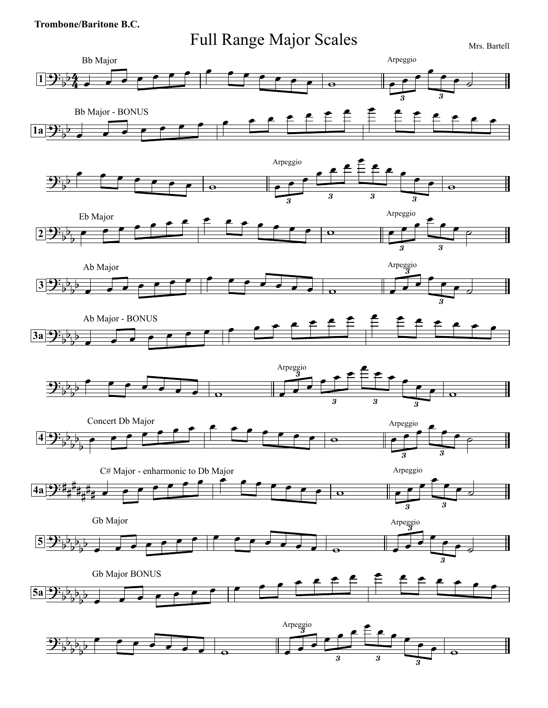## **Trombone/Baritone B.C.**





3

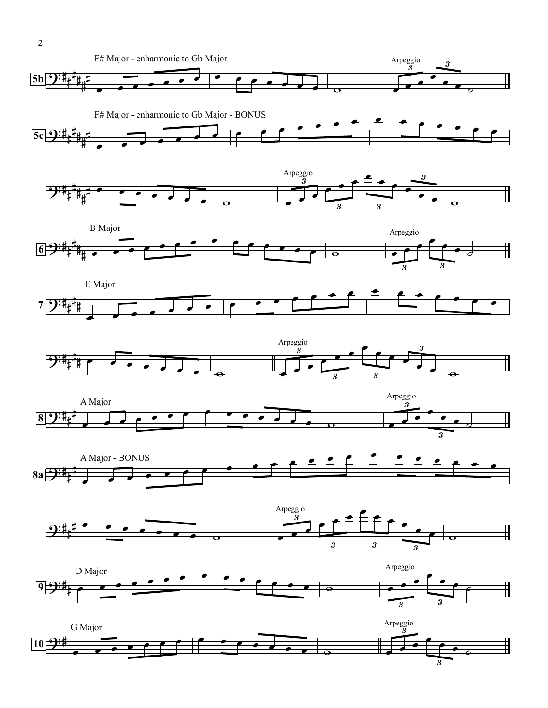F# Major - enharmonic to Gb Major Arpeggio  $\begin{array}{c} 3 \\ 3 \end{array}$  $\sharp$   $\overrightarrow{1}$  $\sharp$  $\frac{1}{4}$  $5b \rightarrow 7$  $\frac{1}{4}$  $\frac{1}{4}$ F# Major - enharmonic to Gb Major - BONUS  $\frac{F# \text{ Major - enhancement to Gb Major - BONUS}}{F*F}$  $\sharp$ #  $5c$   $9:1$  $\frac{1}{4}$  $\frac{1}{4}$  $\frac{1}{4}$ Arpeggio<br>  $\begin{array}{c} \begin{array}{c} 3 \\ 3 \end{array} \end{array}$ 3 3  $\sharp$  $\mathbf{I}$  $\overline{1}$  $\frac{1}{2}$  $\frac{1}{4}$  $\frac{1}{4}$  $\frac{1}{4}$ 3 3 B Major Arpeggio  $\begin{array}{c} \text{trpeggo} \\ \hline \end{array}$  $\sharp$  $\left| \begin{array}{ccc} \bullet & \bullet & \circ \\ \hline \end{array} \right|$  $\frac{1}{4}$  $|6|9:1$  $\frac{1}{4}$  $\frac{1}{4}$ 3 3 E Major  $\sharp$ # **<sup>7</sup>**  $\frac{1}{4}$ Arpeggio  $\overrightarrow{\text{Arpeggio}}$ 3 3  $\sharp$  $2:4$  $\overline{a}$ 3 3